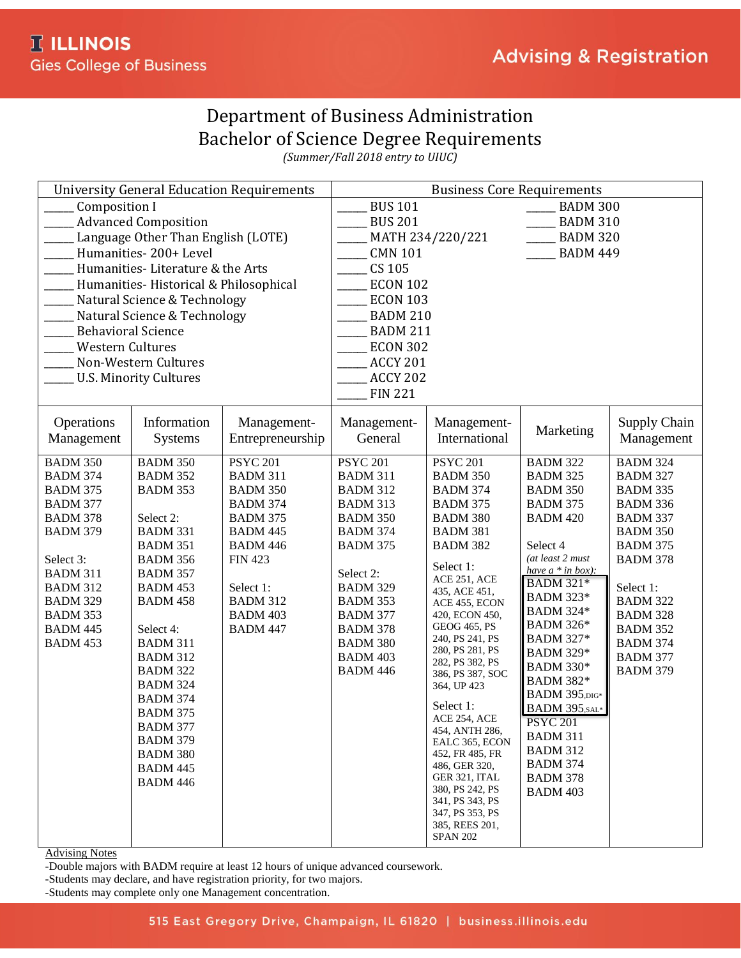## Department of Business Administration Bachelor of Science Degree Requirements

*(Summer/Fall 2018 entry to UIUC)*

|                                                                       |                                                       | <b>University General Education Requirements</b> | <b>Business Core Requirements</b> |                                    |                                   |                                    |  |
|-----------------------------------------------------------------------|-------------------------------------------------------|--------------------------------------------------|-----------------------------------|------------------------------------|-----------------------------------|------------------------------------|--|
| <b>Composition I</b>                                                  |                                                       |                                                  | <b>BUS 101</b><br><b>BADM 300</b> |                                    |                                   |                                    |  |
| <b>Advanced Composition</b>                                           |                                                       |                                                  | <b>BUS 201</b>                    |                                    | <b>BADM 310</b>                   |                                    |  |
| Language Other Than English (LOTE)                                    |                                                       |                                                  |                                   | MATH 234/220/221                   | <b>BADM 320</b>                   |                                    |  |
|                                                                       | Humanities-200+ Level                                 |                                                  | <b>CMN 101</b>                    |                                    | <b>BADM 449</b>                   |                                    |  |
|                                                                       | Humanities-Literature & the Arts                      |                                                  | CS 105                            |                                    |                                   |                                    |  |
|                                                                       |                                                       |                                                  | <b>ECON 102</b>                   |                                    |                                   |                                    |  |
| Humanities-Historical & Philosophical<br>Natural Science & Technology |                                                       |                                                  | <b>ECON 103</b>                   |                                    |                                   |                                    |  |
| Natural Science & Technology                                          |                                                       |                                                  | <b>BADM 210</b>                   |                                    |                                   |                                    |  |
| <b>Behavioral Science</b>                                             |                                                       |                                                  | <b>BADM 211</b>                   |                                    |                                   |                                    |  |
|                                                                       |                                                       |                                                  | <b>ECON 302</b>                   |                                    |                                   |                                    |  |
| <b>Western Cultures</b>                                               |                                                       |                                                  |                                   |                                    |                                   |                                    |  |
|                                                                       | Non-Western Cultures<br><b>U.S. Minority Cultures</b> |                                                  | <b>ACCY 201</b>                   |                                    |                                   |                                    |  |
|                                                                       |                                                       |                                                  | <b>ACCY 202</b>                   |                                    |                                   |                                    |  |
|                                                                       |                                                       |                                                  | <b>FIN 221</b>                    |                                    |                                   |                                    |  |
| Operations                                                            | Information                                           | Management-                                      | Management-                       | Management-                        |                                   | Supply Chain                       |  |
| Management                                                            | <b>Systems</b>                                        | Entrepreneurship                                 | General                           | International                      | Marketing                         | Management                         |  |
|                                                                       |                                                       |                                                  |                                   |                                    |                                   |                                    |  |
| <b>BADM 350</b>                                                       | <b>BADM 350</b>                                       | <b>PSYC 201</b>                                  | <b>PSYC 201</b>                   | <b>PSYC 201</b>                    | <b>BADM 322</b>                   | <b>BADM 324</b>                    |  |
| <b>BADM 374</b>                                                       | <b>BADM 352</b>                                       | <b>BADM 311</b>                                  | <b>BADM 311</b>                   | <b>BADM 350</b>                    | <b>BADM 325</b>                   | <b>BADM 327</b>                    |  |
| <b>BADM 375</b>                                                       | BADM 353                                              | <b>BADM 350</b>                                  | <b>BADM 312</b>                   | <b>BADM 374</b>                    | <b>BADM 350</b>                   | <b>BADM 335</b>                    |  |
| <b>BADM 377</b>                                                       |                                                       | <b>BADM 374</b>                                  | <b>BADM 313</b>                   | <b>BADM 375</b>                    | <b>BADM 375</b>                   | <b>BADM 336</b>                    |  |
| <b>BADM 378</b>                                                       | Select 2:                                             | <b>BADM 375</b>                                  | <b>BADM 350</b>                   | <b>BADM 380</b>                    | <b>BADM 420</b>                   | <b>BADM 337</b>                    |  |
| <b>BADM 379</b>                                                       | <b>BADM 331</b>                                       | <b>BADM 445</b>                                  | <b>BADM 374</b>                   | <b>BADM 381</b>                    | Select 4                          | <b>BADM 350</b>                    |  |
| Select 3:                                                             | <b>BADM 351</b><br><b>BADM 356</b>                    | <b>BADM 446</b><br><b>FIN 423</b>                | <b>BADM 375</b>                   | <b>BADM 382</b>                    | (at least 2 must                  | <b>BADM 375</b><br><b>BADM 378</b> |  |
| <b>BADM 311</b>                                                       | <b>BADM 357</b>                                       |                                                  | Select 2:                         | Select 1:                          | have $a * in box$ :               |                                    |  |
| <b>BADM 312</b>                                                       | <b>BADM 453</b>                                       | Select 1:                                        | <b>BADM 329</b>                   | ACE 251, ACE                       | <b>BADM 321*</b>                  | Select 1:                          |  |
| <b>BADM 329</b>                                                       | <b>BADM 458</b>                                       | <b>BADM 312</b>                                  | <b>BADM 353</b>                   | 435, ACE 451,<br>ACE 455, ECON     | <b>BADM 323*</b>                  | <b>BADM 322</b>                    |  |
| <b>BADM 353</b>                                                       |                                                       | <b>BADM 403</b>                                  | <b>BADM 377</b>                   | 420, ECON 450,                     | <b>BADM 324*</b>                  | <b>BADM 328</b>                    |  |
| <b>BADM 445</b>                                                       | Select 4:                                             | <b>BADM 447</b>                                  | <b>BADM 378</b>                   | GEOG 465, PS                       | <b>BADM 326*</b>                  | <b>BADM 352</b>                    |  |
| <b>BADM 453</b>                                                       | <b>BADM 311</b>                                       |                                                  | <b>BADM 380</b>                   | 240, PS 241, PS                    | <b>BADM 327*</b>                  | <b>BADM 374</b>                    |  |
|                                                                       | <b>BADM 312</b>                                       |                                                  | <b>BADM 403</b>                   | 280, PS 281, PS<br>282, PS 382, PS | <b>BADM 329*</b>                  | <b>BADM 377</b>                    |  |
|                                                                       | <b>BADM 322</b>                                       |                                                  | <b>BADM 446</b>                   | 386, PS 387, SOC                   | <b>BADM 330*</b>                  | <b>BADM 379</b>                    |  |
|                                                                       | <b>BADM 324</b>                                       |                                                  |                                   | 364, UP 423                        | <b>BADM 382*</b>                  |                                    |  |
|                                                                       | <b>BADM 374</b>                                       |                                                  |                                   | Select 1:                          | <b>BADM 395,DIG*</b>              |                                    |  |
|                                                                       | <b>BADM 375</b>                                       |                                                  |                                   | ACE 254, ACE                       | BADM 395, SAL*<br><b>PSYC 201</b> |                                    |  |
|                                                                       | <b>BADM 377</b>                                       |                                                  |                                   | 454, ANTH 286,                     | <b>BADM 311</b>                   |                                    |  |
|                                                                       | <b>BADM 379</b>                                       |                                                  |                                   | EALC 365, ECON                     | <b>BADM 312</b>                   |                                    |  |
|                                                                       | <b>BADM 380</b>                                       |                                                  |                                   | 452, FR 485, FR<br>486, GER 320,   | <b>BADM 374</b>                   |                                    |  |
|                                                                       | <b>BADM 445</b>                                       |                                                  |                                   | GER 321, ITAL                      | <b>BADM 378</b>                   |                                    |  |
|                                                                       | <b>BADM 446</b>                                       |                                                  |                                   | 380, PS 242, PS                    | <b>BADM 403</b>                   |                                    |  |
|                                                                       |                                                       |                                                  |                                   | 341, PS 343, PS                    |                                   |                                    |  |
|                                                                       |                                                       |                                                  |                                   | 347, PS 353, PS<br>385, REES 201,  |                                   |                                    |  |
|                                                                       |                                                       |                                                  |                                   | <b>SPAN 202</b>                    |                                   |                                    |  |
|                                                                       |                                                       |                                                  |                                   |                                    |                                   |                                    |  |

Advising Notes

-Double majors with BADM require at least 12 hours of unique advanced coursework.

-Students may declare, and have registration priority, for two majors.

-Students may complete only one Management concentration.